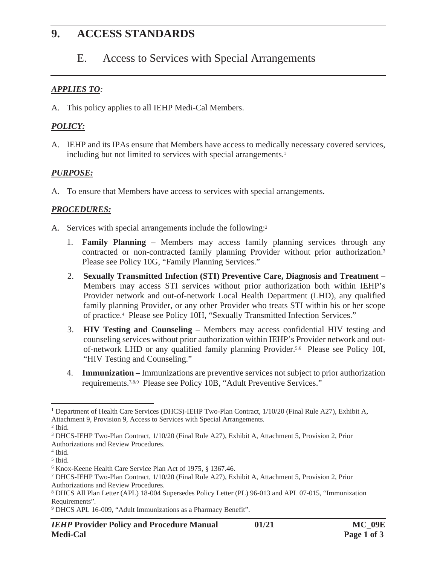# **9. ACCESS STANDARDS**

### E. Access to Services with Special Arrangements

#### *APPLIES TO:*

A. This policy applies to all IEHP Medi-Cal Members.

### *POLICY:*

A. IEHP and its IPAs ensure that Members have access to medically necessary covered services, including but not limited to services with special arrangements.<sup>1</sup>

### *PURPOSE:*

A. To ensure that Members have access to services with special arrangements.

### *PROCEDURES:*

- A. Services with special arrangements include the following:<sup>2</sup>
	- 1. **Family Planning** Members may access family planning services through any contracted or non-contracted family planning Provider without prior authorization.3 Please see Policy 10G, "Family Planning Services."
	- 2. **Sexually Transmitted Infection (STI) Preventive Care, Diagnosis and Treatment** Members may access STI services without prior authorization both within IEHP's Provider network and out-of-network Local Health Department (LHD), any qualified family planning Provider, or any other Provider who treats STI within his or her scope of practice.4 Please see Policy 10H, "Sexually Transmitted Infection Services."
	- 3. **HIV Testing and Counseling** Members may access confidential HIV testing and counseling services without prior authorization within IEHP's Provider network and outof-network LHD or any qualified family planning Provider.5,6 Please see Policy 10I, "HIV Testing and Counseling."
	- 4. **Immunization** Immunizations are preventive services not subject to prior authorization requirements.7,8,9 Please see Policy 10B, "Adult Preventive Services."

<sup>&</sup>lt;sup>1</sup> Department of Health Care Services (DHCS)-IEHP Two-Plan Contract, 1/10/20 (Final Rule A27), Exhibit A, Attachment 9, Provision 9, Access to Services with Special Arrangements.

<sup>2</sup> Ibid.

<sup>3</sup> DHCS-IEHP Two-Plan Contract, 1/10/20 (Final Rule A27), Exhibit A, Attachment 5, Provision 2, Prior Authorizations and Review Procedures.

<sup>4</sup> Ibid.

<sup>5</sup> Ibid.

<sup>6</sup> Knox-Keene Health Care Service Plan Act of 1975, § 1367.46.

<sup>7</sup> DHCS-IEHP Two-Plan Contract, 1/10/20 (Final Rule A27), Exhibit A, Attachment 5, Provision 2, Prior Authorizations and Review Procedures.

<sup>8</sup> DHCS All Plan Letter (APL) 18-004 Supersedes Policy Letter (PL) 96-013 and APL 07-015, "Immunization Requirements".

<sup>9</sup> DHCS APL 16-009, "Adult Immunizations as a Pharmacy Benefit".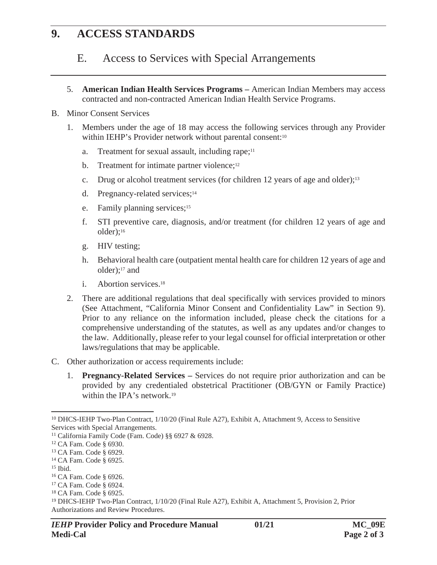## **9. ACCESS STANDARDS**

### E. Access to Services with Special Arrangements

5. **American Indian Health Services Programs –** American Indian Members may access contracted and non-contracted American Indian Health Service Programs.

#### B. Minor Consent Services

- 1. Members under the age of 18 may access the following services through any Provider within IEHP's Provider network without parental consent:<sup>10</sup>
	- a. Treatment for sexual assault, including rape; $11$
	- b. Treatment for intimate partner violence;<sup>12</sup>
	- c. Drug or alcohol treatment services (for children 12 years of age and older);13
	- d. Pregnancy-related services;<sup>14</sup>
	- e. Family planning services;<sup>15</sup>
	- f. STI preventive care, diagnosis, and/or treatment (for children 12 years of age and older);16
	- g. HIV testing;
	- h. Behavioral health care (outpatient mental health care for children 12 years of age and older);17 and
	- i. Abortion services.18
- 2. There are additional regulations that deal specifically with services provided to minors (See Attachment, "California Minor Consent and Confidentiality Law" in Section 9). Prior to any reliance on the information included, please check the citations for a comprehensive understanding of the statutes, as well as any updates and/or changes to the law. Additionally, please refer to your legal counsel for official interpretation or other laws/regulations that may be applicable.
- C. Other authorization or access requirements include:
	- 1. **Pregnancy-Related Services –** Services do not require prior authorization and can be provided by any credentialed obstetrical Practitioner (OB/GYN or Family Practice) within the IPA's network.<sup>19</sup>

<sup>10</sup> DHCS-IEHP Two-Plan Contract, 1/10/20 (Final Rule A27), Exhibit A, Attachment 9, Access to Sensitive Services with Special Arrangements.

<sup>11</sup> California Family Code (Fam. Code) §§ 6927 & 6928.

<sup>12</sup> CA Fam. Code § 6930.

<sup>13</sup> CA Fam. Code § 6929.

<sup>14</sup> CA Fam. Code § 6925.

 $15$  Ibid.

<sup>16</sup> CA Fam. Code § 6926.

<sup>17</sup> CA Fam. Code § 6924.

<sup>18</sup> CA Fam. Code § 6925.

<sup>19</sup> DHCS-IEHP Two-Plan Contract, 1/10/20 (Final Rule A27), Exhibit A, Attachment 5, Provision 2, Prior Authorizations and Review Procedures.